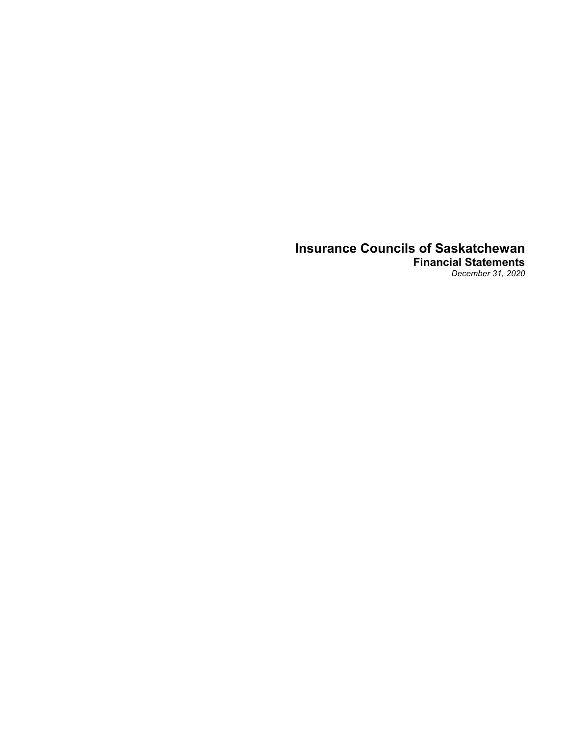# **Insurance Councils of Saskatchewan Financial Statements**

*December 31, 2020*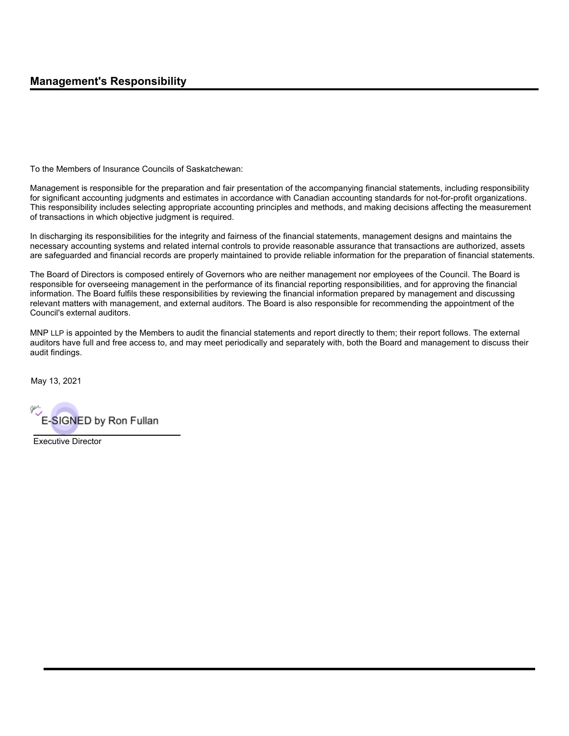To the Members of Insurance Councils of Saskatchewan:

Management is responsible for the preparation and fair presentation of the accompanying financial statements, including responsibility for significant accounting judgments and estimates in accordance with Canadian accounting standards for not-for-profit organizations. This responsibility includes selecting appropriate accounting principles and methods, and making decisions affecting the measurement of transactions in which objective judgment is required.

In discharging its responsibilities for the integrity and fairness of the financial statements, management designs and maintains the necessary accounting systems and related internal controls to provide reasonable assurance that transactions are authorized, assets are safeguarded and financial records are properly maintained to provide reliable information for the preparation of financial statements.

The Board of Directors is composed entirely of Governors who are neither management nor employees of the Council. The Board is responsible for overseeing management in the performance of its financial reporting responsibilities, and for approving the financial information. The Board fulfils these responsibilities by reviewing the financial information prepared by management and discussing relevant matters with management, and external auditors. The Board is also responsible for recommending the appointment of the Council's external auditors.

MNP LLP is appointed by the Members to audit the financial statements and report directly to them; their report follows. The external auditors have full and free access to, and may meet periodically and separately with, both the Board and management to discuss their audit findings.

May 13, 2021

E-SIGNED by Ron Fullan

Executive Director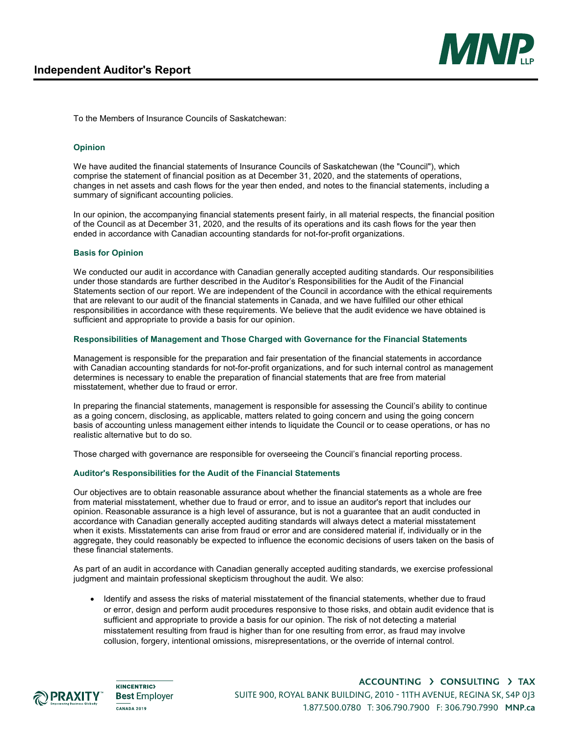

To the Members of Insurance Councils of Saskatchewan:

#### **Opinion**

We have audited the financial statements of Insurance Councils of Saskatchewan (the "Council"), which comprise the statement of financial position as at December 31, 2020, and the statements of operations, changes in net assets and cash flows for the year then ended, and notes to the financial statements, including a summary of significant accounting policies.

In our opinion, the accompanying financial statements present fairly, in all material respects, the financial position of the Council as at December 31, 2020, and the results of its operations and its cash flows for the year then ended in accordance with Canadian accounting standards for not-for-profit organizations.

#### **Basis for Opinion**

We conducted our audit in accordance with Canadian generally accepted auditing standards. Our responsibilities under those standards are further described in the Auditor's Responsibilities for the Audit of the Financial Statements section of our report. We are independent of the Council in accordance with the ethical requirements that are relevant to our audit of the financial statements in Canada, and we have fulfilled our other ethical responsibilities in accordance with these requirements. We believe that the audit evidence we have obtained is sufficient and appropriate to provide a basis for our opinion.

#### **Responsibilities of Management and Those Charged with Governance for the Financial Statements**

Management is responsible for the preparation and fair presentation of the financial statements in accordance with Canadian accounting standards for not-for-profit organizations, and for such internal control as management determines is necessary to enable the preparation of financial statements that are free from material misstatement, whether due to fraud or error.

In preparing the financial statements, management is responsible for assessing the Council's ability to continue as a going concern, disclosing, as applicable, matters related to going concern and using the going concern basis of accounting unless management either intends to liquidate the Council or to cease operations, or has no realistic alternative but to do so.

Those charged with governance are responsible for overseeing the Council's financial reporting process.

#### **Auditor's Responsibilities for the Audit of the Financial Statements**

Our objectives are to obtain reasonable assurance about whether the financial statements as a whole are free from material misstatement, whether due to fraud or error, and to issue an auditor's report that includes our opinion. Reasonable assurance is a high level of assurance, but is not a guarantee that an audit conducted in accordance with Canadian generally accepted auditing standards will always detect a material misstatement when it exists. Misstatements can arise from fraud or error and are considered material if, individually or in the aggregate, they could reasonably be expected to influence the economic decisions of users taken on the basis of these financial statements.

As part of an audit in accordance with Canadian generally accepted auditing standards, we exercise professional judgment and maintain professional skepticism throughout the audit. We also:

 Identify and assess the risks of material misstatement of the financial statements, whether due to fraud or error, design and perform audit procedures responsive to those risks, and obtain audit evidence that is sufficient and appropriate to provide a basis for our opinion. The risk of not detecting a material misstatement resulting from fraud is higher than for one resulting from error, as fraud may involve collusion, forgery, intentional omissions, misrepresentations, or the override of internal control.



**KINCENTRIC> Best Employer** CANADA 2019

ACCOUNTING > CONSULTING > TAX SUITE 900, ROYAL BANK BUILDING, 2010 - 11TH AVENUE, REGINA SK, S4P 0J3 1.877.500.0780 T: 306.790.7900 F: 306.790.7990 **MNP.ca**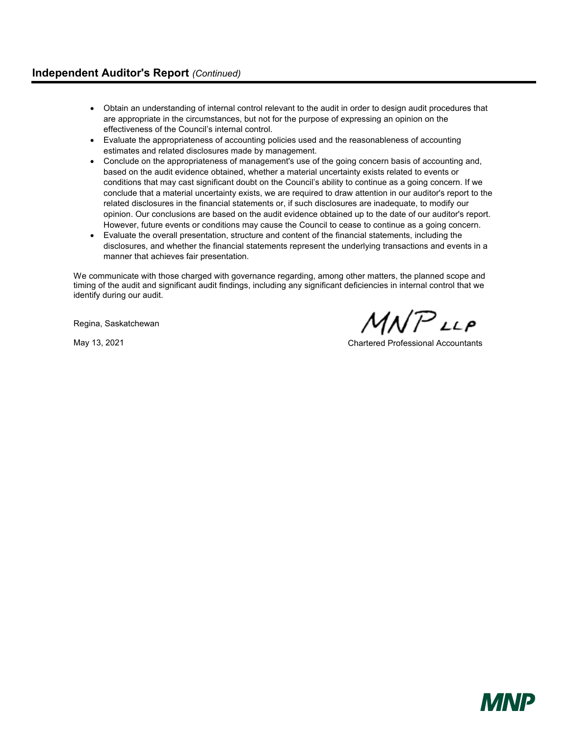- Obtain an understanding of internal control relevant to the audit in order to design audit procedures that are appropriate in the circumstances, but not for the purpose of expressing an opinion on the effectiveness of the Council's internal control.
- Evaluate the appropriateness of accounting policies used and the reasonableness of accounting estimates and related disclosures made by management.
- Conclude on the appropriateness of management's use of the going concern basis of accounting and, based on the audit evidence obtained, whether a material uncertainty exists related to events or conditions that may cast significant doubt on the Council's ability to continue as a going concern. If we conclude that a material uncertainty exists, we are required to draw attention in our auditor's report to the related disclosures in the financial statements or, if such disclosures are inadequate, to modify our opinion. Our conclusions are based on the audit evidence obtained up to the date of our auditor's report. However, future events or conditions may cause the Council to cease to continue as a going concern.
- Evaluate the overall presentation, structure and content of the financial statements, including the disclosures, and whether the financial statements represent the underlying transactions and events in a manner that achieves fair presentation.

We communicate with those charged with governance regarding, among other matters, the planned scope and timing of the audit and significant audit findings, including any significant deficiencies in internal control that we identify during our audit.

Regina, Saskatchewan

 $1$ N $1$  $2$ 

May 13, 2021 Chartered Professional Accountants

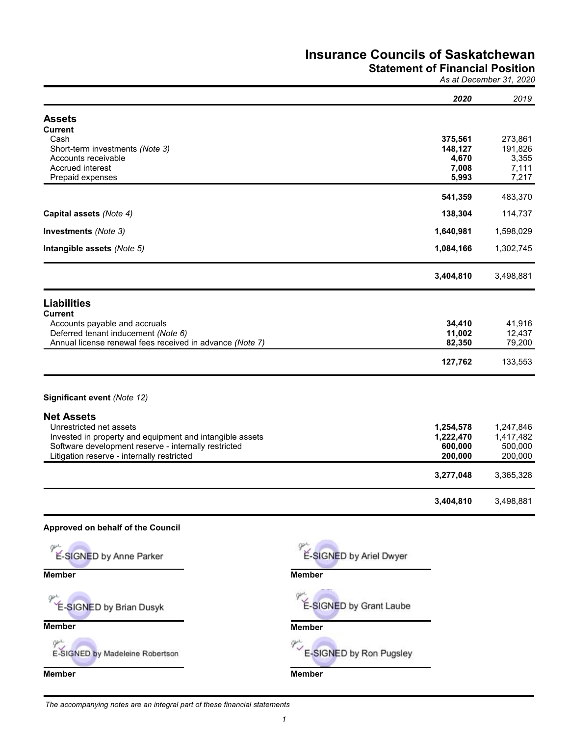## **Statement of Financial Position**

*As at December 31, 2020*

|                                                                                                    |                                         | 2020               | 2019               |
|----------------------------------------------------------------------------------------------------|-----------------------------------------|--------------------|--------------------|
| <b>Assets</b><br><b>Current</b><br>Cash                                                            |                                         | 375,561            | 273,861            |
| Short-term investments (Note 3)                                                                    |                                         | 148,127            | 191,826            |
| Accounts receivable<br>Accrued interest                                                            |                                         | 4,670<br>7,008     | 3,355<br>7,111     |
| Prepaid expenses                                                                                   |                                         | 5,993              | 7,217              |
|                                                                                                    |                                         | 541,359            | 483,370            |
| Capital assets (Note 4)                                                                            |                                         | 138,304            | 114,737            |
| Investments (Note 3)                                                                               |                                         | 1,640,981          | 1,598,029          |
| Intangible assets (Note 5)                                                                         |                                         | 1,084,166          | 1,302,745          |
|                                                                                                    |                                         | 3,404,810          | 3,498,881          |
| <b>Liabilities</b><br><b>Current</b>                                                               |                                         |                    |                    |
| Accounts payable and accruals                                                                      |                                         | 34,410             | 41,916             |
| Deferred tenant inducement (Note 6)                                                                |                                         | 11,002             | 12,437             |
| Annual license renewal fees received in advance (Note 7)                                           |                                         | 82,350             | 79,200             |
|                                                                                                    |                                         | 127,762            | 133,553            |
| Significant event (Note 12)                                                                        |                                         |                    |                    |
| <b>Net Assets</b>                                                                                  |                                         |                    |                    |
| Unrestricted net assets                                                                            |                                         | 1,254,578          | 1,247,846          |
| Invested in property and equipment and intangible assets                                           |                                         | 1,222,470          | 1,417,482          |
| Software development reserve - internally restricted<br>Litigation reserve - internally restricted |                                         | 600,000<br>200,000 | 500,000<br>200,000 |
|                                                                                                    |                                         | 3,277,048          | 3,365,328          |
|                                                                                                    |                                         | 3,404,810          | 3,498,881          |
|                                                                                                    |                                         |                    |                    |
| Approved on behalf of the Council                                                                  |                                         |                    |                    |
| <b>E-SIGNED by Anne Parker</b>                                                                     | <b>Clark</b><br>E-SIGNED by Ariel Dwyer |                    |                    |
| <b>Member</b>                                                                                      | <b>Member</b>                           |                    |                    |
| <b>E-SIGNED by Brian Dusyk</b>                                                                     | E-SIGNED by Grant Laube                 |                    |                    |
| <b>Member</b>                                                                                      | <b>Member</b>                           |                    |                    |
|                                                                                                    |                                         |                    |                    |
| E-SIGNED by Madeleine Robertson                                                                    | E-SIGNED by Ron Pugsley                 |                    |                    |

E-SIGNED by Madeleine Robertson

### **Member**

**Member**

*The accompanying notes are an integral part of these financial statements*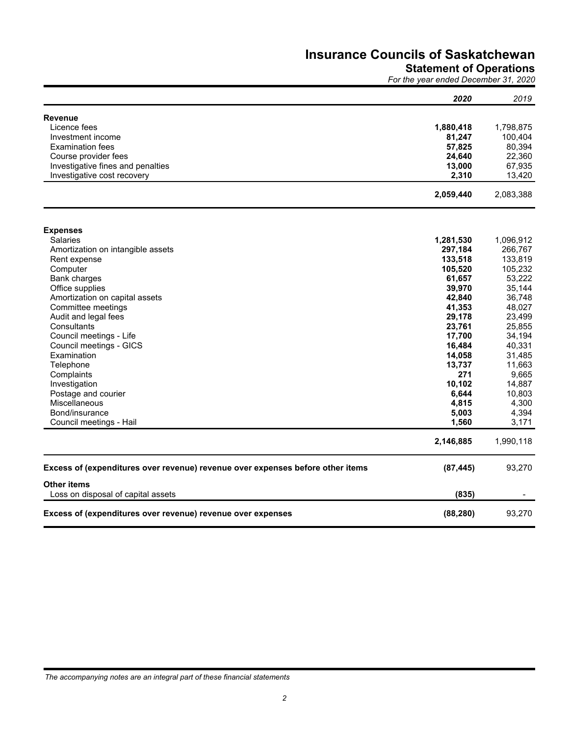### **Statement of Operations**

*For the year ended December 31, 2020*

|                                                                                | 2020      | 2019      |
|--------------------------------------------------------------------------------|-----------|-----------|
| <b>Revenue</b>                                                                 |           |           |
| Licence fees                                                                   | 1,880,418 | 1,798,875 |
| Investment income                                                              | 81,247    | 100,404   |
| <b>Examination fees</b>                                                        | 57,825    | 80,394    |
| Course provider fees                                                           | 24,640    | 22,360    |
| Investigative fines and penalties                                              | 13,000    | 67,935    |
| Investigative cost recovery                                                    | 2,310     | 13,420    |
|                                                                                |           |           |
|                                                                                | 2,059,440 | 2,083,388 |
| <b>Expenses</b>                                                                |           |           |
| Salaries                                                                       | 1,281,530 | 1,096,912 |
| Amortization on intangible assets                                              | 297,184   | 266,767   |
| Rent expense                                                                   | 133,518   | 133,819   |
| Computer                                                                       | 105,520   | 105,232   |
| Bank charges                                                                   | 61,657    | 53,222    |
| Office supplies                                                                | 39,970    | 35,144    |
| Amortization on capital assets                                                 | 42,840    | 36,748    |
| Committee meetings                                                             | 41,353    | 48,027    |
| Audit and legal fees                                                           | 29,178    | 23,499    |
| Consultants                                                                    | 23,761    | 25,855    |
| Council meetings - Life                                                        | 17,700    | 34,194    |
| Council meetings - GICS                                                        | 16,484    | 40,331    |
| Examination                                                                    | 14,058    | 31,485    |
| Telephone                                                                      | 13,737    | 11,663    |
| Complaints                                                                     | 271       | 9.665     |
| Investigation                                                                  | 10,102    | 14,887    |
| Postage and courier                                                            | 6,644     | 10,803    |
| Miscellaneous                                                                  | 4,815     | 4,300     |
| Bond/insurance                                                                 | 5,003     | 4,394     |
| Council meetings - Hail                                                        | 1,560     | 3,171     |
|                                                                                | 2,146,885 | 1,990,118 |
| Excess of (expenditures over revenue) revenue over expenses before other items | (87, 445) | 93,270    |
| <b>Other items</b>                                                             |           |           |
| Loss on disposal of capital assets                                             | (835)     |           |
| Excess of (expenditures over revenue) revenue over expenses                    | (88, 280) | 93,270    |

*The accompanying notes are an integral part of these financial statements*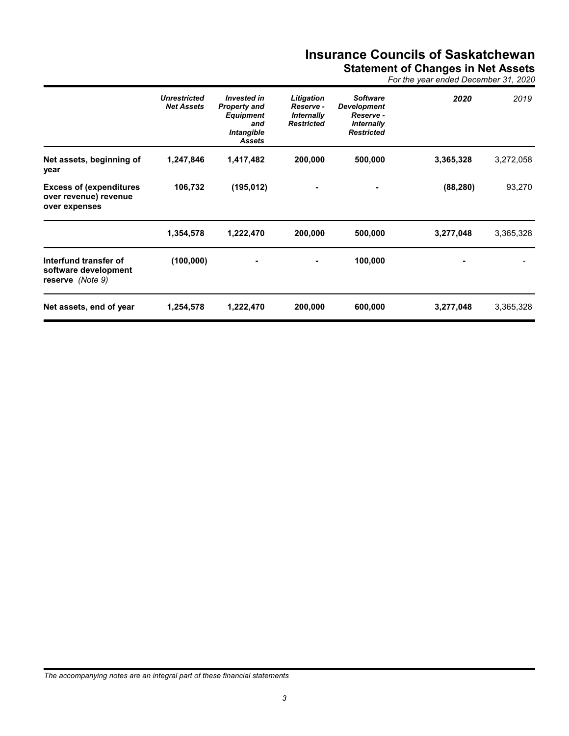**Statement of Changes in Net Assets**

*For the year ended December 31, 2020*

|                                                                          | <b>Unrestricted</b><br><b>Net Assets</b> | <b>Invested</b> in<br><b>Property and</b><br><b>Equipment</b><br>and<br>Intangible<br><b>Assets</b> | Litigation<br>Reserve -<br><b>Internally</b><br><b>Restricted</b> | <b>Software</b><br><b>Development</b><br>Reserve -<br><b>Internally</b><br><b>Restricted</b> | 2020      | 2019      |
|--------------------------------------------------------------------------|------------------------------------------|-----------------------------------------------------------------------------------------------------|-------------------------------------------------------------------|----------------------------------------------------------------------------------------------|-----------|-----------|
| Net assets, beginning of<br>year                                         | 1,247,846                                | 1,417,482                                                                                           | 200,000                                                           | 500,000                                                                                      | 3,365,328 | 3,272,058 |
| <b>Excess of (expenditures</b><br>over revenue) revenue<br>over expenses | 106,732                                  | (195, 012)                                                                                          |                                                                   |                                                                                              | (88, 280) | 93,270    |
|                                                                          | 1,354,578                                | 1,222,470                                                                                           | 200,000                                                           | 500,000                                                                                      | 3,277,048 | 3,365,328 |
| Interfund transfer of<br>software development<br>reserve (Note 9)        | (100, 000)                               | ۰                                                                                                   |                                                                   | 100,000                                                                                      |           |           |
| Net assets, end of year                                                  | 1,254,578                                | 1,222,470                                                                                           | 200,000                                                           | 600,000                                                                                      | 3,277,048 | 3,365,328 |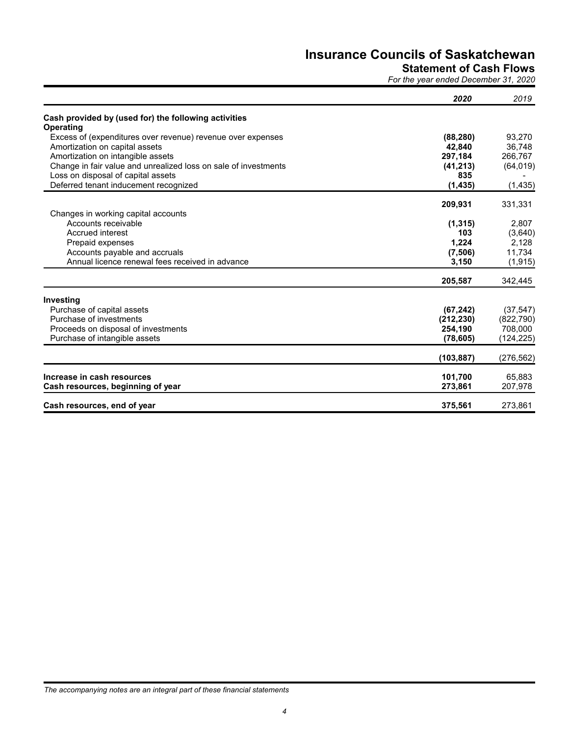## **Statement of Cash Flows**

*For the year ended December 31, 2020*

|                                                                 | 2020       | 2019       |
|-----------------------------------------------------------------|------------|------------|
| Cash provided by (used for) the following activities            |            |            |
| Operating                                                       |            |            |
| Excess of (expenditures over revenue) revenue over expenses     | (88, 280)  | 93.270     |
| Amortization on capital assets                                  | 42,840     | 36,748     |
| Amortization on intangible assets                               | 297,184    | 266,767    |
| Change in fair value and unrealized loss on sale of investments | (41, 213)  | (64, 019)  |
| Loss on disposal of capital assets                              | 835        |            |
| Deferred tenant inducement recognized                           | (1, 435)   | (1, 435)   |
|                                                                 | 209,931    | 331,331    |
| Changes in working capital accounts                             |            |            |
| Accounts receivable                                             | (1, 315)   | 2,807      |
| Accrued interest                                                | 103        | (3,640)    |
| Prepaid expenses                                                | 1,224      | 2,128      |
| Accounts payable and accruals                                   | (7,506)    | 11,734     |
| Annual licence renewal fees received in advance                 | 3,150      | (1, 915)   |
|                                                                 | 205,587    | 342,445    |
| Investing                                                       |            |            |
| Purchase of capital assets                                      | (67, 242)  | (37, 547)  |
| Purchase of investments                                         | (212, 230) | (822, 790) |
| Proceeds on disposal of investments                             | 254,190    | 708,000    |
| Purchase of intangible assets                                   | (78, 605)  | (124, 225) |
|                                                                 |            |            |
|                                                                 | (103, 887) | (276, 562) |
| Increase in cash resources                                      | 101,700    | 65,883     |
| Cash resources, beginning of year                               | 273,861    | 207,978    |
| Cash resources, end of year                                     | 375,561    | 273.861    |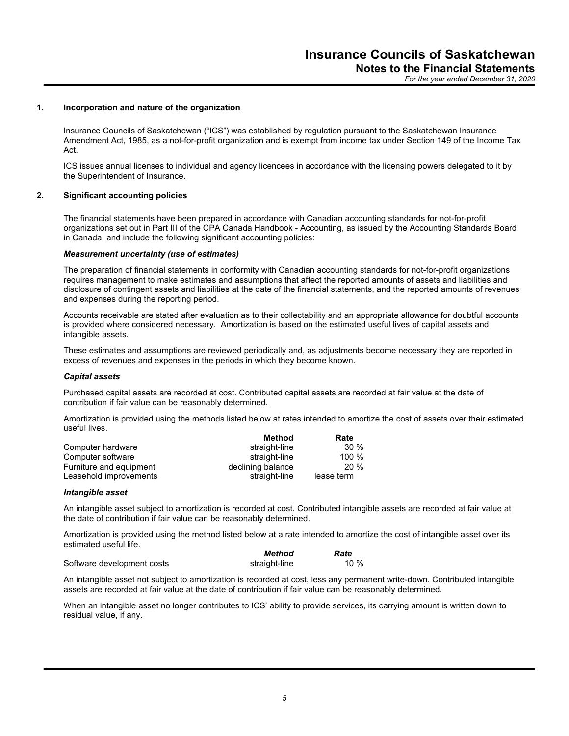*For the year ended December 31, 2020*

#### **1. Incorporation and nature of the organization**

Insurance Councils of Saskatchewan ("ICS") was established by regulation pursuant to the Saskatchewan Insurance Amendment Act, 1985, as a not-for-profit organization and is exempt from income tax under Section 149 of the Income Tax Act.

ICS issues annual licenses to individual and agency licencees in accordance with the licensing powers delegated to it by the Superintendent of Insurance.

#### **2. Significant accounting policies**

The financial statements have been prepared in accordance with Canadian accounting standards for not-for-profit organizations set out in Part III of the CPA Canada Handbook - Accounting, as issued by the Accounting Standards Board in Canada, and include the following significant accounting policies:

#### *Measurement uncertainty (use of estimates)*

The preparation of financial statements in conformity with Canadian accounting standards for not-for-profit organizations requires management to make estimates and assumptions that affect the reported amounts of assets and liabilities and disclosure of contingent assets and liabilities at the date of the financial statements, and the reported amounts of revenues and expenses during the reporting period.

Accounts receivable are stated after evaluation as to their collectability and an appropriate allowance for doubtful accounts is provided where considered necessary. Amortization is based on the estimated useful lives of capital assets and intangible assets.

These estimates and assumptions are reviewed periodically and, as adjustments become necessary they are reported in excess of revenues and expenses in the periods in which they become known.

#### *Capital assets*

Purchased capital assets are recorded at cost. Contributed capital assets are recorded at fair value at the date of contribution if fair value can be reasonably determined.

Amortization is provided using the methods listed below at rates intended to amortize the cost of assets over their estimated useful lives.

|                         | Method            | Rate       |
|-------------------------|-------------------|------------|
| Computer hardware       | straight-line     | $30\%$     |
| Computer software       | straight-line     | $100 \%$   |
| Furniture and equipment | declining balance | 20%        |
| Leasehold improvements  | straight-line     | lease term |

#### *Intangible asset*

An intangible asset subject to amortization is recorded at cost. Contributed intangible assets are recorded at fair value at the date of contribution if fair value can be reasonably determined.

Amortization is provided using the method listed below at a rate intended to amortize the cost of intangible asset over its estimated useful life.

|                            | Method        | Rate |
|----------------------------|---------------|------|
| Software development costs | straight-line | 10 % |

An intangible asset not subject to amortization is recorded at cost, less any permanent write-down. Contributed intangible assets are recorded at fair value at the date of contribution if fair value can be reasonably determined.

When an intangible asset no longer contributes to ICS' ability to provide services, its carrying amount is written down to residual value, if any.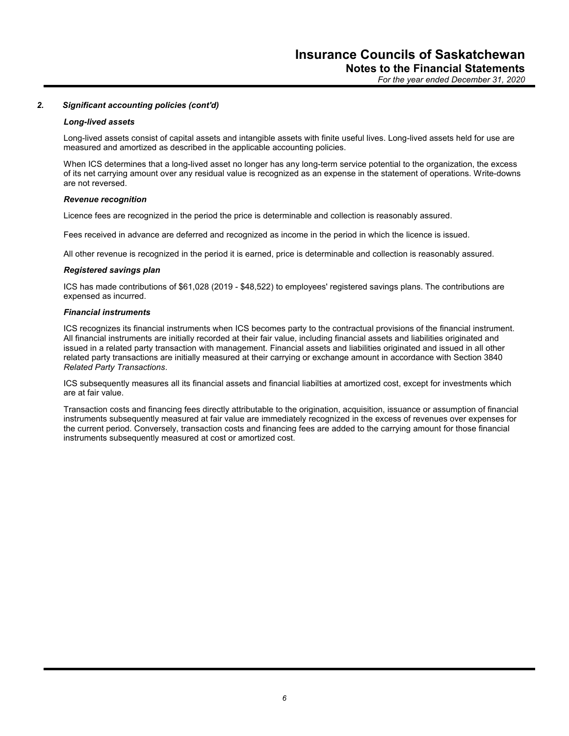*For the year ended December 31, 2020*

#### *2. Significant accounting policies (cont'd)*

#### *Long-lived assets*

Long-lived assets consist of capital assets and intangible assets with finite useful lives. Long-lived assets held for use are measured and amortized as described in the applicable accounting policies.

When ICS determines that a long-lived asset no longer has any long-term service potential to the organization, the excess of its net carrying amount over any residual value is recognized as an expense in the statement of operations. Write-downs are not reversed.

#### *Revenue recognition*

Licence fees are recognized in the period the price is determinable and collection is reasonably assured.

Fees received in advance are deferred and recognized as income in the period in which the licence is issued.

All other revenue is recognized in the period it is earned, price is determinable and collection is reasonably assured.

#### *Registered savings plan*

ICS has made contributions of \$61,028 (2019 - \$48,522) to employees' registered savings plans. The contributions are expensed as incurred.

#### *Financial instruments*

ICS recognizes its financial instruments when ICS becomes party to the contractual provisions of the financial instrument. All financial instruments are initially recorded at their fair value, including financial assets and liabilities originated and issued in a related party transaction with management. Financial assets and liabilities originated and issued in all other related party transactions are initially measured at their carrying or exchange amount in accordance with Section 3840 *Related Party Transactions*.

ICS subsequently measures all its financial assets and financial liabilties at amortized cost, except for investments which are at fair value.

Transaction costs and financing fees directly attributable to the origination, acquisition, issuance or assumption of financial instruments subsequently measured at fair value are immediately recognized in the excess of revenues over expenses for the current period. Conversely, transaction costs and financing fees are added to the carrying amount for those financial instruments subsequently measured at cost or amortized cost.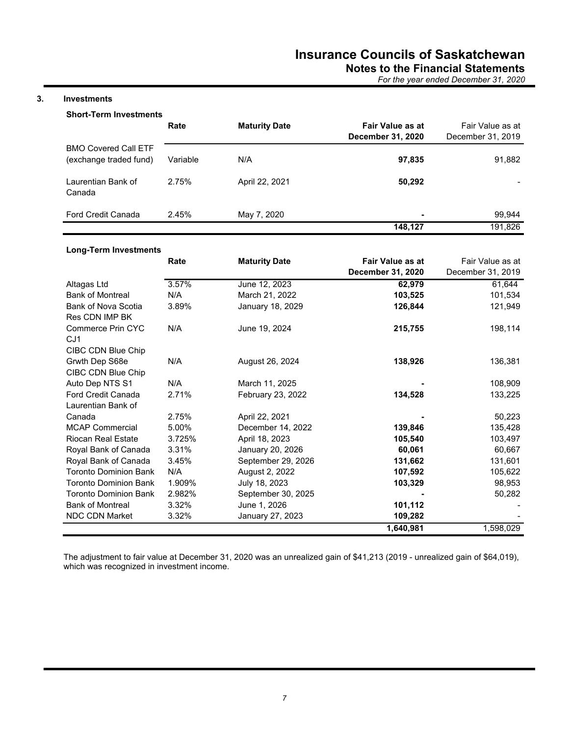## **Notes to the Financial Statements**

*For the year ended December 31, 2020*

#### **3. Investments**

### **Short-Term Investments**

|                                                       | Rate     | <b>Maturity Date</b> | Fair Value as at<br><b>December 31, 2020</b> | Fair Value as at<br>December 31, 2019 |
|-------------------------------------------------------|----------|----------------------|----------------------------------------------|---------------------------------------|
| <b>BMO Covered Call ETF</b><br>(exchange traded fund) | Variable | N/A                  | 97,835                                       | 91,882                                |
| Laurentian Bank of<br>Canada                          | 2.75%    | April 22, 2021       | 50,292                                       |                                       |
| Ford Credit Canada                                    | 2.45%    | May 7, 2020          | ۰                                            | 99.944                                |
|                                                       |          |                      | 148,127                                      | 191,826                               |

### **Long-Term Investments**

|                              | Rate   | <b>Maturity Date</b> | <b>Fair Value as at</b> | Fair Value as at  |
|------------------------------|--------|----------------------|-------------------------|-------------------|
|                              |        |                      | December 31, 2020       | December 31, 2019 |
| Altagas Ltd                  | 3.57%  | June 12, 2023        | 62,979                  | 61,644            |
| <b>Bank of Montreal</b>      | N/A    | March 21, 2022       | 103,525                 | 101,534           |
| Bank of Nova Scotia          | 3.89%  | January 18, 2029     | 126,844                 | 121,949           |
| <b>Res CDN IMP BK</b>        |        |                      |                         |                   |
| Commerce Prin CYC            | N/A    | June 19, 2024        | 215,755                 | 198,114           |
| CJ <sub>1</sub>              |        |                      |                         |                   |
| CIBC CDN Blue Chip           |        |                      |                         |                   |
| Grwth Dep S68e               | N/A    | August 26, 2024      | 138,926                 | 136,381           |
| CIBC CDN Blue Chip           |        |                      |                         |                   |
| Auto Dep NTS S1              | N/A    | March 11, 2025       |                         | 108,909           |
| Ford Credit Canada           | 2.71%  | February 23, 2022    | 134,528                 | 133,225           |
| Laurentian Bank of           |        |                      |                         |                   |
| Canada                       | 2.75%  | April 22, 2021       |                         | 50,223            |
| <b>MCAP Commercial</b>       | 5.00%  | December 14, 2022    | 139,846                 | 135,428           |
| <b>Riocan Real Estate</b>    | 3.725% | April 18, 2023       | 105,540                 | 103,497           |
| Royal Bank of Canada         | 3.31%  | January 20, 2026     | 60,061                  | 60,667            |
| Royal Bank of Canada         | 3.45%  | September 29, 2026   | 131,662                 | 131,601           |
| <b>Toronto Dominion Bank</b> | N/A    | August 2, 2022       | 107,592                 | 105,622           |
| <b>Toronto Dominion Bank</b> | 1.909% | July 18, 2023        | 103,329                 | 98,953            |
| <b>Toronto Dominion Bank</b> | 2.982% | September 30, 2025   |                         | 50,282            |
| <b>Bank of Montreal</b>      | 3.32%  | June 1, 2026         | 101,112                 |                   |
| <b>NDC CDN Market</b>        | 3.32%  | January 27, 2023     | 109,282                 |                   |
|                              |        |                      | 1,640,981               | 1,598,029         |

The adjustment to fair value at December 31, 2020 was an unrealized gain of \$41,213 (2019 - unrealized gain of \$64,019), which was recognized in investment income.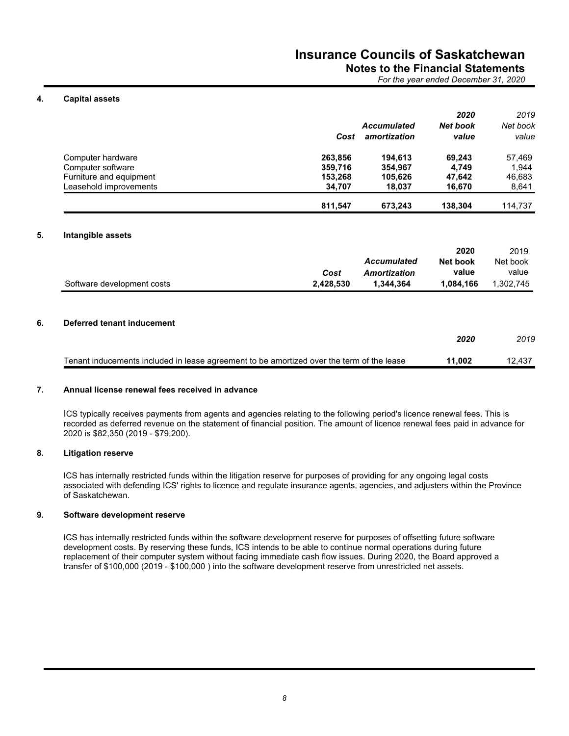## **Notes to the Financial Statements**

*For the year ended December 31, 2020*

### **4. Capital assets**

|                         |         |                    | 2020     | 2019     |
|-------------------------|---------|--------------------|----------|----------|
|                         |         | <b>Accumulated</b> | Net book | Net book |
|                         | Cost    | amortization       | value    | value    |
| Computer hardware       | 263.856 | 194.613            | 69.243   | 57,469   |
| Computer software       | 359,716 | 354.967            | 4,749    | 1.944    |
| Furniture and equipment | 153.268 | 105,626            | 47,642   | 46,683   |
| Leasehold improvements  | 34.707  | 18.037             | 16.670   | 8,641    |
|                         | 811.547 | 673.243            | 138.304  | 114.737  |

#### **5. Intangible assets**

|                            |           |                    | 2020      | 2019      |
|----------------------------|-----------|--------------------|-----------|-----------|
|                            |           | <b>Accumulated</b> | Net book  | Net book  |
|                            | Cost      | Amortization       | value     | value     |
| Software development costs | 2,428,530 | 1.344.364          | 1.084.166 | 1.302.745 |

#### **6. Deferred tenant inducement**

|                                                                                           | 2020   | 2019   |
|-------------------------------------------------------------------------------------------|--------|--------|
| Tenant inducements included in lease agreement to be amortized over the term of the lease | 11.002 | 12.437 |

#### **7. Annual license renewal fees received in advance**

ICS typically receives payments from agents and agencies relating to the following period's licence renewal fees. This is recorded as deferred revenue on the statement of financial position. The amount of licence renewal fees paid in advance for 2020 is \$82,350 (2019 - \$79,200).

#### **8. Litigation reserve**

ICS has internally restricted funds within the litigation reserve for purposes of providing for any ongoing legal costs associated with defending ICS' rights to licence and regulate insurance agents, agencies, and adjusters within the Province of Saskatchewan.

#### **9. Software development reserve**

ICS has internally restricted funds within the software development reserve for purposes of offsetting future software development costs. By reserving these funds, ICS intends to be able to continue normal operations during future replacement of their computer system without facing immediate cash flow issues. During 2020, the Board approved a transfer of \$100,000 (2019 - \$100,000 ) into the software development reserve from unrestricted net assets.